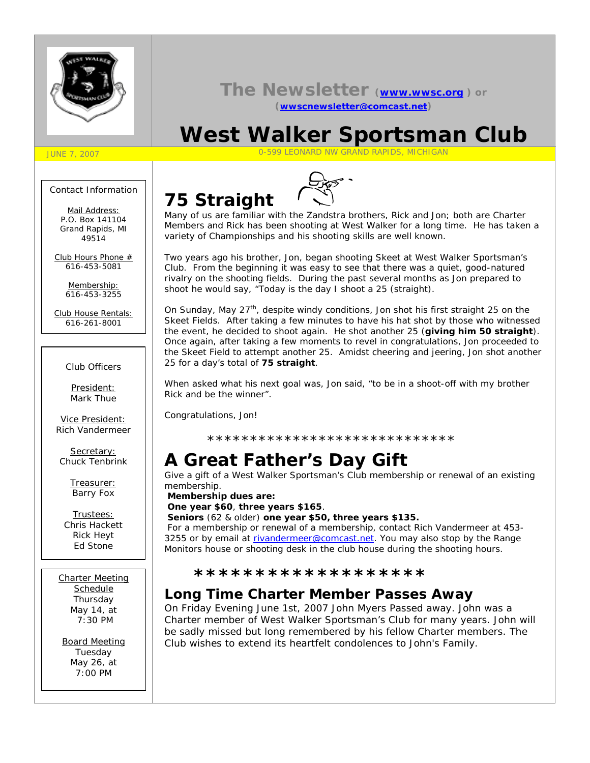

## **The Newsletter (www.wwsc.org ) or (wwscnewsletter@comcast.net)**

# **West Walker Sportsman Club**

#### JUNE 7, 2007 0-599 LEONARD NW GRAND RAPIDS, MICHIGAN

#### Contact Information

Mail Address: *P.O. Box 141104 Grand Rapids, MI 49514*

Club Hours Phone # *616-453-5081*

> Membership: *616-453-3255*

Club House Rentals: *616-261-8001*

#### Club Officers

President: Mark Thue

Vice President: Rich Vandermeer

Secretary: Chuck Tenbrink

> Treasurer: Barry Fox

Trustees: Chris Hackett Rick Heyt Ed Stone

Charter Meeting **Schedule** Thursday May 14, at 7:30 PM

Board Meeting Tuesday May 26, at 7:00 PM

# **75 Straight**



Many of us are familiar with the Zandstra brothers, Rick and Jon; both are Charter Members and Rick has been shooting at West Walker for a long time. He has taken a variety of Championships and his shooting skills are well known.

Two years ago his brother, Jon, began shooting Skeet at West Walker Sportsman's Club. From the beginning it was easy to see that there was a quiet, good-natured rivalry on the shooting fields. During the past several months as Jon prepared to shoot he would say, "Today is the day I shoot a 25 (straight).

On Sunday, May 27<sup>th</sup>, despite windy conditions, Jon shot his first straight 25 on the Skeet Fields. After taking a few minutes to have his hat shot by those who witnessed the event, he decided to shoot again. He shot another 25 (**giving him 50 straight**). Once again, after taking a few moments to revel in congratulations, Jon proceeded to the Skeet Field to attempt another 25. Amidst cheering and jeering, Jon shot another 25 for a day's total of **75 straight**.

When asked what his next goal was, Jon said, "to be in a shoot-off with my brother Rick and be the winner".

Congratulations, Jon!

\*\*\*\*\*\*\*\*\*\*\*\*\*\*\*\*\*\*\*\*\*\*\*\*\*\*\*\*\*

# **A Great Father's Day Gift**

Give a gift of a West Walker Sportsman's Club membership or renewal of an existing membership.

 **Membership dues are: One year \$60**, **three years \$165**.

**Seniors** (62 & older) **one year \$50, three years \$135.**

For a membership or renewal of a membership, contact Rich Vandermeer at 453- 3255 or by email at rivandermeer@comcast.net. You may also stop by the Range Monitors house or shooting desk in the club house during the shooting hours.

#### **\*\*\*\*\*\*\*\*\*\*\*\*\*\*\*\*\*\*\***

# **Long Time Charter Member Passes Away**

On Friday Evening June 1st, 2007 John Myers Passed away. John was a Charter member of West Walker Sportsman's Club for many years. John will be sadly missed but long remembered by his fellow Charter members. The Club wishes to extend its heartfelt condolences to John's Family.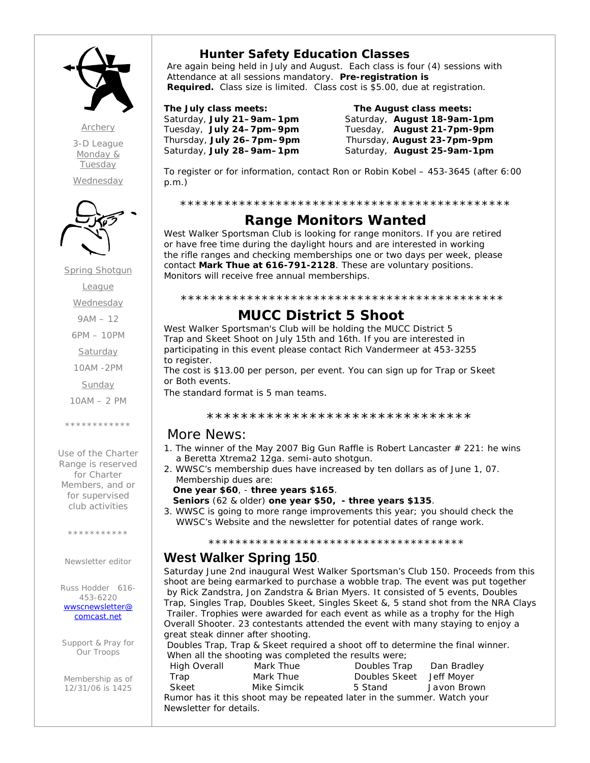

*Archery 3-D League Monday & Tuesday*

*Wednesday*



Spring Shotgun **League Wednesday** 9AM – 12 6PM – 10PM Saturday 10AM -2PM

Sunday

10AM – 2 PM

\*\*\*\*\*\*\*\*\*\*\*\*

Use of the Charter Range is reserved for Charter Members, and or for supervised club activities

\*\*\*\*\*\*\*\*\*\*

Newsletter editor

Russ Hodder 616- 453-6220 *wwscnewsletter@ comcast.net*

Support & Pray for Our Troops

Membership as of 12/31/06 is 1425

## **Hunter Safety Education Classes**

 Are again being held in July and August. Each class is four (4) sessions with Attendance at all sessions mandatory. **Pre-registration is Required.** Class size is limited. Class cost is \$5.00, due at registration.

**The July class meets: The August class meets:** Saturday, **July 21–9am–1pm** Saturday, **August 18-9am-1pm** Tuesday, **July 24–7pm–9pm** Tuesday, **August 21-7pm-9pm** Thursday, **July 26–7pm–9pm** Thursday, **August 23-7pm-9pm** Saturday, **July 28–9am–1pm** Saturday, **August 25-9am-1pm**

To register or for information, contact Ron or Robin Kobel – 453-3645 (after 6:00 p.m.)

#### \*\*\*\*\*\*\*\*\*\*\*\*\*\*\*\*\*\*\*\*\*\*\*\*\*\*\*\*\*\*\*\*\*\*\*\*\*\*\*\*\*\*\*\*\*

## **Range Monitors Wanted**

West Walker Sportsman Club is looking for range monitors. If you are retired or have free time during the daylight hours and are interested in working the rifle ranges and checking memberships one or two days per week, please contact **Mark Thue at 616-791-2128**. These are voluntary positions. Monitors will receive free annual memberships.

#### \*\*\*\*\*\*\*\*\*\*\*\*\*\*\*\*\*\*\*\*\*\*\*\*\*\*\*\*\*\*\*\*\*\*\*\*\*\*\*\*\*\*\*\*

## **MUCC District 5 Shoot**

West Walker Sportsman's Club will be holding the MUCC District 5 Trap and Skeet Shoot on July 15th and 16th. If you are interested in participating in this event please contact Rich Vandermeer at 453-3255 to register.

The cost is \$13.00 per person, per event. You can sign up for Trap or Skeet or Both events.

The standard format is 5 man teams.

#### \*\*\*\*\*\*\*\*\*\*\*\*\*\*\*\*\*\*\*\*\*\*\*\*\*\*\*\*\*\*\*

### More News:

- 1. The winner of the May 2007 Big Gun Raffle is Robert Lancaster  $\#$  221: he wins a Beretta Xtrema2 12ga. semi-auto shotgun.
- 2. WWSC's membership dues have increased by ten dollars as of June 1, 07. Membership dues are:
	- **One year \$60**, **three years \$165**.
	- **Seniors** (62 & older) **one year \$50, three years \$135**.
- 3. WWSC is going to more range improvements this year; you should check the WWSC's Website and the newsletter for potential dates of range work.

## \*\*\*\*\*\*\*\*\*\*\*\*\*\*\*\*\*\*\*\*\*\*\*\*\*\*\*\*\*\*\*\*\*\*\*\*\*\* **West Walker Spring 150**.

Saturday June 2nd inaugural West Walker Sportsman's Club 150. Proceeds from this shoot are being earmarked to purchase a wobble trap. The event was put together by Rick Zandstra, Jon Zandstra & Brian Myers. It consisted of 5 events, Doubles Trap, Singles Trap, Doubles Skeet, Singles Skeet &, 5 stand shot from the NRA Clays Trailer. Trophies were awarded for each event as while as a trophy for the High Overall Shooter. 23 contestants attended the event with many staying to enjoy a great steak dinner after shooting.

 Doubles Trap, Trap & Skeet required a shoot off to determine the final winner. When all the shooting was completed the results were;

| High Overall            | Mark Thue   | Doubles Trap                                                            | Dan Bradley |
|-------------------------|-------------|-------------------------------------------------------------------------|-------------|
| Trap                    | Mark Thue   | Doubles Skeet Jeff Moyer                                                |             |
| Skeet                   | Mike Simcik | 5 Stand                                                                 | Javon Brown |
|                         |             | Rumor has it this shoot may be repeated later in the summer. Watch your |             |
| Newsletter for details. |             |                                                                         |             |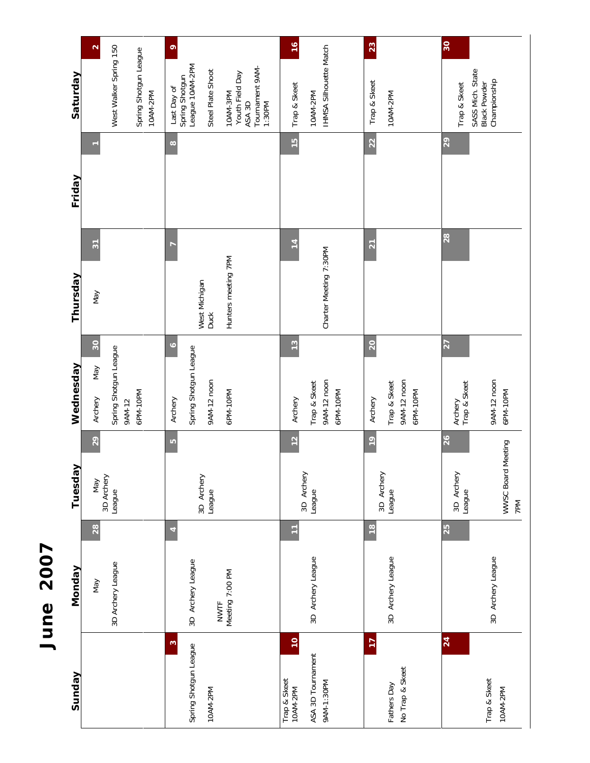# June 2007 **June 2007**

| Sunday                                      | Monday                         | ><br>Tuesda                | Wednesday                               | Thursday               | Friday        | Saturday                                                |
|---------------------------------------------|--------------------------------|----------------------------|-----------------------------------------|------------------------|---------------|---------------------------------------------------------|
|                                             | 28<br>Vay                      | 29<br>May                  | 30 <sub>o</sub><br>Nay<br>Archery       | $\overline{3}$<br>Nay  |               | $\mathbf{\Omega}$                                       |
|                                             | 3D Archery League              | 3D Archery<br>League       | Spring Shotgun League                   |                        |               | West Walker Spring 150                                  |
|                                             |                                |                            | 6PM-10PM<br>9AM-12                      |                        |               | Spring Shotgun League<br>10AM-2PM                       |
| $\overline{\mathcal{E}}$                    | 4                              | LO                         | $\circ$<br>Archery                      |                        | $\infty$      | $\bullet$<br>Last Day of                                |
| Spring Shotgun League                       | 3D Archery League              |                            | Spring Shotgun League                   |                        |               | League 10AM-2PM<br>Spring Shotgun                       |
| 10AM-2PM                                    |                                | 3D Archery<br>League       | 9AM-12 noon                             | West Michigan<br>Duck  |               | Steel Plate Shoot                                       |
|                                             | Meeting 7:00 PM<br><b>NWTF</b> |                            | 6PM-10PM                                | Hunters meeting 7PM    |               | 10AM-3PM                                                |
|                                             |                                |                            |                                         |                        |               | Tournament 9AM-<br>Youth Field Day<br>ASA 3D<br>1:30PM  |
| $\overline{10}$<br>Trap & Skeet<br>10AM-2PM | Ξ                              | $\frac{2}{3}$              | $\frac{3}{2}$<br>Archery                | $\overline{1}$         | $\frac{1}{2}$ | $\frac{6}{2}$<br>Trap & Skeet                           |
|                                             |                                | 3D Archery                 |                                         |                        |               |                                                         |
| ASA 3D Tournament<br>9AM-1:30PM             | 3D Archery League              | League                     | 9AM-12 noon<br>Trap & Skeet<br>6PM-10PM | Charter Meeting 7:30PM |               | IHMSA Silhouette Match<br>10AM-2PM                      |
|                                             |                                |                            |                                         |                        |               |                                                         |
| $\overline{17}$                             | $\frac{8}{1}$                  | $^{9}$<br>3D Archery       | 20<br>Archery                           | $\overline{21}$        | 22            | 23<br>Trap & Skeet                                      |
| No Trap & Skeet<br>Fathers Day              | 3D Archery League              | League                     | 9AM-12 noon<br>Trap & Skeet<br>6PM-10PM |                        |               | 10AM-2PM                                                |
|                                             |                                |                            |                                         |                        |               |                                                         |
| 24                                          | 25                             | 26<br>3D Archery<br>League | 27<br>Archery<br>Trap & Skeet           | 28                     | 29            | 30<br>Trap & Skeet                                      |
| Trap & Skeet<br>10AM-2PM                    | 3D Archery League              | Meeting<br>WWSC Board      | 9AM-12 noon<br>6PM-10PM                 |                        |               | SASS Mich. State<br>Championship<br><b>Black Powder</b> |
|                                             |                                | 7PM                        |                                         |                        |               |                                                         |